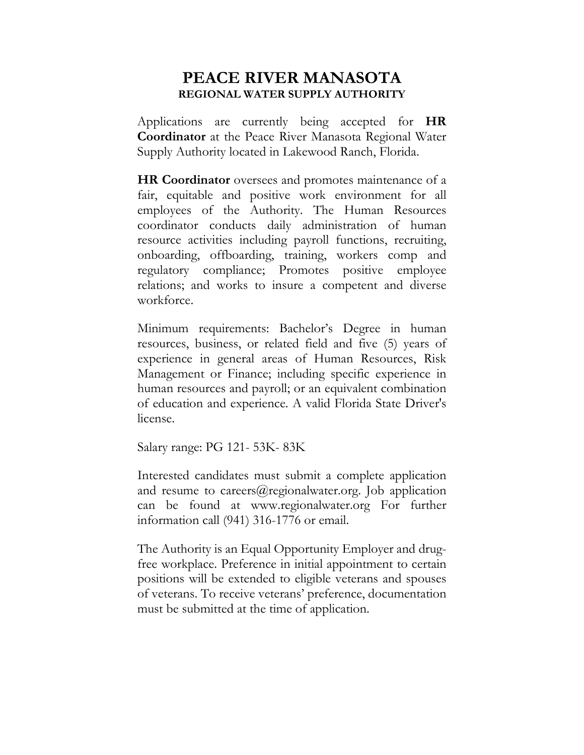## **PEACE RIVER MANASOTA REGIONAL WATER SUPPLY AUTHORITY**

Applications are currently being accepted for **HR Coordinator** at the Peace River Manasota Regional Water Supply Authority located in Lakewood Ranch, Florida.

**HR Coordinator** oversees and promotes maintenance of a fair, equitable and positive work environment for all employees of the Authority. The Human Resources coordinator conducts daily administration of human resource activities including payroll functions, recruiting, onboarding, offboarding, training, workers comp and regulatory compliance; Promotes positive employee relations; and works to insure a competent and diverse workforce.

Minimum requirements: Bachelor's Degree in human resources, business, or related field and five (5) years of experience in general areas of Human Resources, Risk Management or Finance; including specific experience in human resources and payroll; or an equivalent combination of education and experience. A valid Florida State Driver's license.

Salary range: PG 121- 53K- 83K

Interested candidates must submit a complete application and resume to [careers@regionalwater.org. Job application](mailto:careers@regionalwater.org.%20Job%20Application) can be found at www.regionalwater.org For further information call (941) 316-1776 or email.

The Authority is an Equal Opportunity Employer and drugfree workplace. Preference in initial appointment to certain positions will be extended to eligible veterans and spouses of veterans. To receive veterans' preference, documentation must be submitted at the time of application.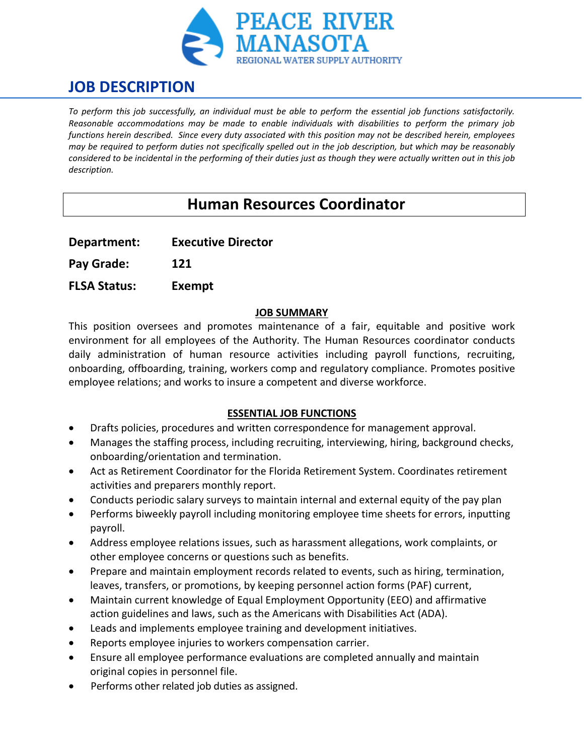

# **JOB DESCRIPTION**

*To perform this job successfully, an individual must be able to perform the essential job functions satisfactorily. Reasonable accommodations may be made to enable individuals with disabilities to perform the primary job functions herein described. Since every duty associated with this position may not be described herein, employees may be required to perform duties not specifically spelled out in the job description, but which may be reasonably considered to be incidental in the performing of their duties just as though they were actually written out in this job description.*

# **Human Resources Coordinator**

**Department: Executive Director**

**Pay Grade: 121**

**FLSA Status: Exempt**

### **JOB SUMMARY**

This position oversees and promotes maintenance of a fair, equitable and positive work environment for all employees of the Authority. The Human Resources coordinator conducts daily administration of human resource activities including payroll functions, recruiting, onboarding, offboarding, training, workers comp and regulatory compliance. Promotes positive employee relations; and works to insure a competent and diverse workforce.

### **ESSENTIAL JOB FUNCTIONS**

- Drafts policies, procedures and written correspondence for management approval.
- Manages the staffing process, including recruiting, interviewing, hiring, background checks, onboarding/orientation and termination.
- Act as Retirement Coordinator for the Florida Retirement System. Coordinates retirement activities and preparers monthly report.
- Conducts periodic salary surveys to maintain internal and external equity of the pay plan
- Performs biweekly payroll including monitoring employee time sheets for errors, inputting payroll.
- Address employee relations issues, such as harassment allegations, work complaints, or other employee concerns or questions such as benefits.
- Prepare and maintain employment records related to events, such as hiring, termination, leaves, transfers, or promotions, by keeping personnel action forms (PAF) current,
- Maintain current knowledge of Equal Employment Opportunity (EEO) and affirmative action guidelines and laws, such as the Americans with Disabilities Act (ADA).
- Leads and implements employee training and development initiatives.
- Reports employee injuries to workers compensation carrier.
- Ensure all employee performance evaluations are completed annually and maintain original copies in personnel file.
- Performs other related job duties as assigned.